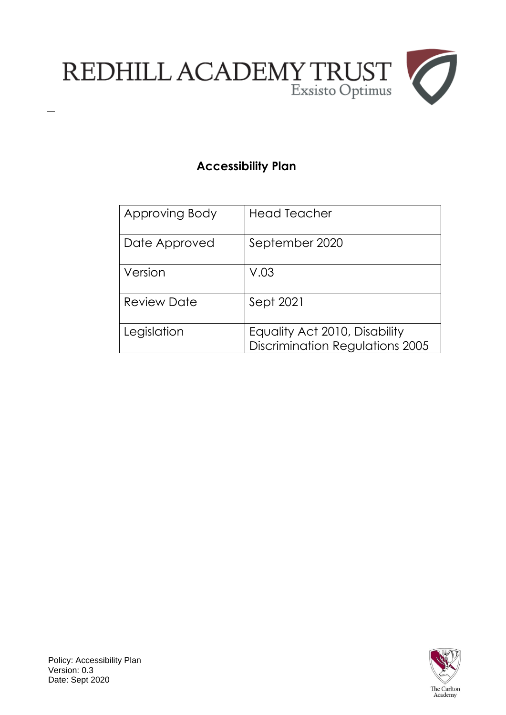

# **Accessibility Plan**

| Approving Body     | <b>Head Teacher</b>                                                     |
|--------------------|-------------------------------------------------------------------------|
| Date Approved      | September 2020                                                          |
| Version            | V.03                                                                    |
| <b>Review Date</b> | Sept 2021                                                               |
| Legislation        | Equality Act 2010, Disability<br><b>Discrimination Regulations 2005</b> |